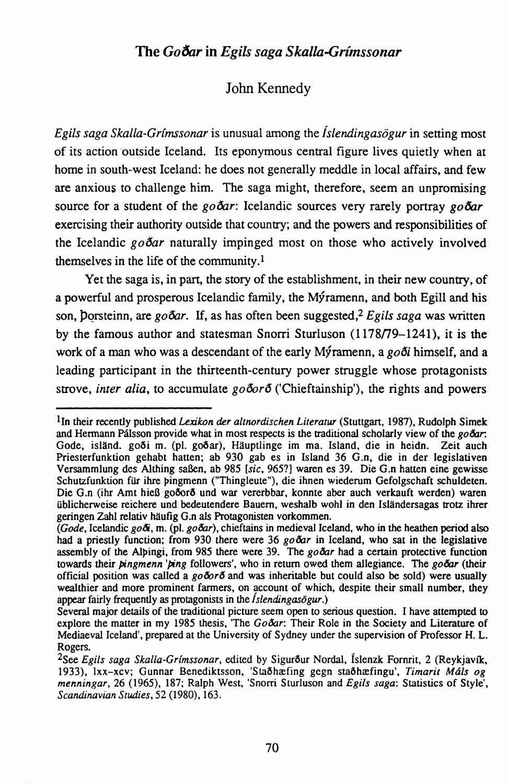## The *Go&r* in *Egils saga Skalla-Grimssonar*

## John Kennedy

*Egils saga Skalla-Grfmssonar* is unusual among the *fs!endingasogur* in setting most of its action outside Iceland. Its eponymous central figure lives quietly when at home in south-west Iceland: he does not generally meddle in local affairs, and few are anxious to challenge him. The saga might, therefore, seem an unpromising source for a student of the *godar*: Icelandic sources very rarely portray *godar* exercising their authority outside that country; and the powers and responsibilities of the Icelandic *go6ar* naturally impinged most on those who actively involved themselves in the life of the community.<sup>1</sup>

Yet the saga is, in part, the story of the establishment, in their new country, of a powerful and prosperous Icelandic family, the Myramenn, and both Egill and his son, Dorsteinn, are *goðar*. If, as has often been suggested,<sup>2</sup> Egils saga was written by the famous author and statesman Snorri Sturluson  $(1178/79-1241)$ , it is the work of a man who was a descendant of the early Myramenn, a gooi himself, and a leading panicipant in the thirteenth-century power struggle whose protagonists strove, *inter alia,* to accumulate *go6oro* ('Chieftainship'), the rights and powers

lin their recently published *Lexikon der altnordischen Literatur* (Stuttgan, 1987), Rudolph Simek and Hermann Pálsson provide what in most respects is the traditional scholarly view of the *go*dar: Gode, isländ. goði m. (pl. goðar), Häuptlinge im ma. Island, die in heidn. Zeit auch Priesterfunktion gehabt hatten; ab 930 gab es in Island 36 G.n, die in der legislativen Versammlung des Althing saBen, ab 985 *[sic,* 965?] waren es 39. Die G.n batten cine gewisse Schutzfunktion für ihre pingmenn ("Thingleute"), die ihnen wiederum Gefolgschaft schuldeten. Die G.n (ihr Amt hieß goðorð und war vererbbar, konnte aber auch verkauft werden) waren üblicherweise reichere und bedeutendere Bauern, weshalb wohl in den Isländersagas trotz ihrer geringen Zahl relativ häufig G.n als Protagonisten vorkommen.

*<sup>(</sup>Gode, Icelandic goði, m. (pl. goðar), chieftains in medieval Iceland, who in the heathen period also* had a priestly function; from 930 there were 36  $g \circ \tilde{\sigma} a r$  in Iceland, who sat in the legislative assembly of the Alpingi, from 985 there were 39. The godar had a certain protective function towards their *pingmenn 'ping* followers', who in return owed them allegiance. The *go*dar (their official position was called a *go bor*<sup> $\delta$ </sup> and was inheritable but could also be sold) were usually wealthier and more prominent farmers, on account of which, despite their small number, they appear fairly frequently as protagonists in the *fslendingasogur*.)

Several major details of the traditional picture seem open to serious question. I have attempted to explore the matter in my 1985 thesis, 'The *Gočar*: Their Role in the Society and Literature of Mediaeval Iceland', prepared at the University of Sydney under the supervision of Professor H. L. Rogers.

<sup>&</sup>lt;sup>2</sup>See *Egils saga Skalla-Grímssonar*, edited by Sigurður Nordal, Íslenzk Fornrit, 2 (Reykjavík, 1933), lxx-xcv; Gunnar Benediktsson, 'Stallhrefing gcgn stallhrefingu', *Timarit Ma/s og menningar,* 26 (1965), 187; Ralph West, 'Snorri Sturluson and *Egils saga:* Statistics of Style', *Scandinavian Studies,* 52 (1980), 163.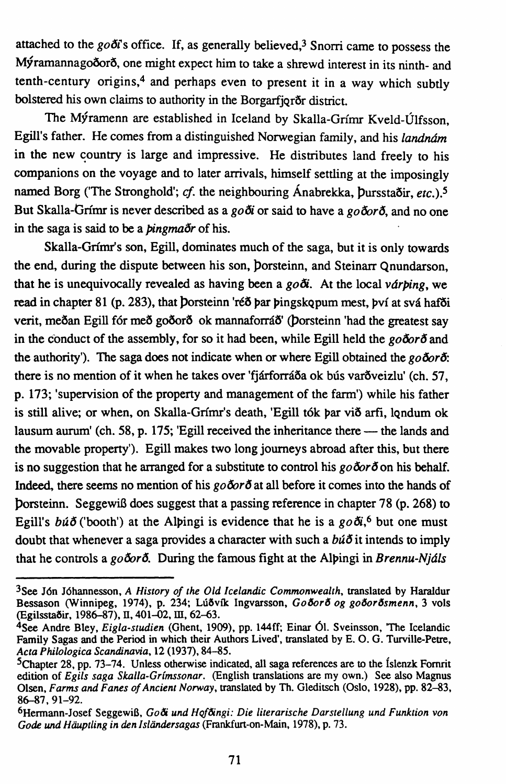attached to the *go&"s* office. If, as generally believed,3 Snorri came to possess the Myramannago&r6, one might expect him to take a shrewd interest in its ninth- and tenth-century origins,4 and perhaps even to present it in a way which subtly bolstered his own claims to authority in the Borgarfjor<sub>or</sub> district.

The Mýramenn are established in Iceland by Skalla-Grímr Kveld-Úlfsson, Egill's father. He comes from a distinguished Norwegian family, and his *landnám* in the new sountry is large and impressive. He distributes land freely to his companions on the voyage and to later arrivals, himself settling at the imposingly named Borg ('The Stronghold'; *cf.* the neighbouring Anabrekka, Dursstaðir, *etc.*).<sup>5</sup> But Skalla-Grímr is never described as a *goði* or said to have a *goðorð*, and no one in the saga is said to be a *pingma6r* of his.

Skalla-Grimr's son, Egill, dominates much of the saga, but it is only towards the end, during the dispute between his son, Dorsteinn, and Steinarr Qnundarson, that he is unequivocally revealed as having been a *goti.* At the local *vdrping,* we read in chapter 81 (p. 283), that Dorsteinn 'réð þar þingskopum mest, því at svá hafði verit, meðan Egill fór með goðorð ok mannaforráð' (Þorsteinn 'had the greatest say in the conduct of the assembly, for so it had been, while Egill held the  $\ell_0$ *dord* and the authority'). The saga does not indicate when or where Egill obtained the  $\ell \circ \delta \circ \delta$ . there is no mention of it when he takes over 'fjárforráða ok bús varðveizlu' (ch. 57, p. 173; 'supervision of the property and management of the farm') while his father is still alive; or when, on Skalla-Grímr's death, 'Egill tók þar við arfi, londum ok lausum aurum' (ch. 58, p. 175; 'Egill received the inheritance there — the lands and the movable property'). Egill makes two long journeys abroad after this, but there is no suggestion that he arranged for a substitute to control his  $g \circ \delta \circ \sigma$  on his behalf. Indeed, there seems no mention of his *goorn* at all before it comes into the hands of )>orsteinn. SeggewiB does suggest that a passing reference in chapter 78 (p. 268) to Egill's  $b\acute{u}\acute{\sigma}$  ('booth') at the Alpingi is evidence that he is a  $g\acute{o}\acute{a}$ <sup>6</sup>, but one must doubt that whenever a saga provides a character with such a *bu<sup>6</sup>* it intends to imply that he controls a *gooro*. During the famous fight at the Alpingi in *Brennu-Njáls* 

<sup>&</sup>lt;sup>3</sup>See Jón Jóhannesson, *A History of the Old Icelandic Commonwealth*, translated by Haraldur Bessason (Winnipeg, 1974), p. 234; Lúðvík Ingvarsson, *Goðorð og goðorðsmenn*, 3 vols (Egilsstaðir, 1986-87), II, 401-02, III, 62-63.

<sup>&</sup>lt;sup>4</sup>See Andre Bley, *Eigla-studien* (Ghent, 1909), pp. 144ff; Einar Ól. Sveinsson, 'The Icelandic Family Sagas and the Period in which their Authors Lived', translated by E. 0. G. Turville-Pette, *Acta Philologica Scandinavia,* 12 (1937), 84-85.

SChapter 28, pp. 73-74. Unless otherwise indicated, all saga references are to the fslenzk Fomrit edition of *Egils saga Skalla-Grimssonar.* (English translations are my own.) See also Magnus Olsen, *Farms and Fanes of Ancient Norway*, translated by Th. Gleditsch (Oslo, 1928), pp. 82-83, 86-87. 91-92.

<sup>&</sup>lt;sup>6</sup>Hermann-Josef Seggewiß, *Goði und Hofðingi: Die literarische Darstellung und Funktion von Gode und Hiiuptling in denlsliindersagas* (Frankfurt-on-Main, 1978), p. 73.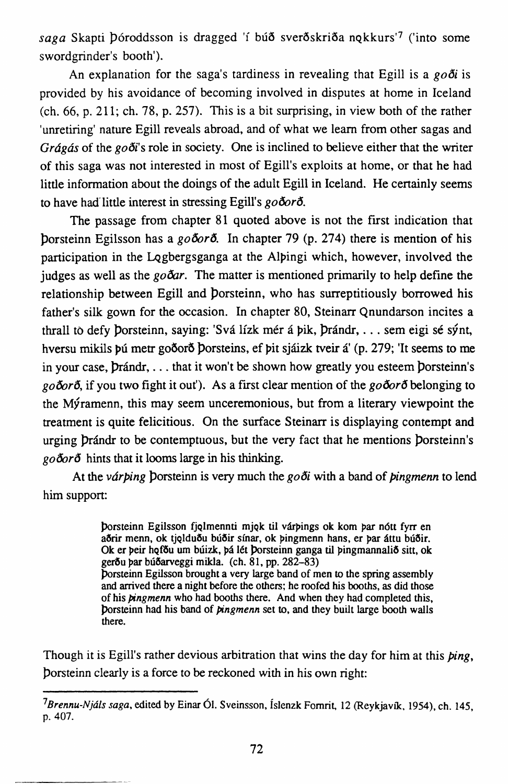saga Skapti Dóroddsson is dragged 'í búð sverðskriða nokkurs<sup>'7</sup> ('into some swordgrinder's booth').

An explanation for the saga's tardiness in revealing that Egill is a  $g \circ \delta i$  is provided by his avoidance of becoming involved in disputes at home in Iceland  $($ ch. 66, p. 211; ch. 78, p. 257). This is a bit surprising, in view both of the rather 'unretiring' nature Egill reveals abroad, and of what we learn from other sagas and *Grágás* of the *go*<sup> $\delta$ *i*</sup>'s role in society. One is inclined to believe either that the writer of this saga was not interested in most of Egill's exploits at home, or that he had little information about the doings of the adult Egill in Iceland. He certainly seems to have had' little interest in stressing Egill's *go&ro.* 

The passage from chapter 81 quoted above is not the first indication that }Jorsteinn Egilsson has a *go&ro.* In chapter 79 (p. 274) there is mention of his participation in the Logbergsganga at the Alpingi which, however, involved the judges as well as the *go&zr.* The matter is mentioned primarily to help define the relationship between Egill and Dorsteinn, who has surreptitiously borrowed his father's silk gown for the occasion. In chapter 80, Steinarr Qnundarson incites a thrall to defy Þorsteinn, saying: 'Svá lízk mér á pik, þrándr, ... sem eigi sé sýnt, hversu mikils pú metr goðorð Þorsteins, ef pit sjáizk tveir á' (p. 279; 'It seems to me in your case,  $Draf, \ldots$  that it won't be shown how greatly you esteem Dorsteinn's *go&ro,* if you two fight it out'). As a first clear mention of the *go&ro* belonging to the Myramenn, this may seem unceremonious, but from a literary viewpoint the treatment is quite felicitious. On the surface Steinarr is displaying contempt and urging Drándr to be contemptuous, but the very fact that he mentions Dorsteinn's *go&ro* hints that it looms large in his thinking.

At the *várping* Dorsteinn is very much the *go*<sup> $\delta$ </sup> with a band of *pingmenn* to lend him support:

> borsteinn Egilsson fjolmennti mjok til várpings ok kom par nótt fyrr en aðrir menn, ok tjolduðu búðir sínar, ok þingmenn hans, er þar áttu búðir. Ok er peir hofðu um búizk, pá lét þorsteinn ganga til pingmannalið sitt, ok ger6u par bu6arveggi mikla. (ch. 81, pp. 282-83) )Jorsteinn Egilsson brought a very large band of men to the spring assembly and arrived there a night before the others; he roofed his booths, as did those of his *pingmenn* who had booths there. And when they had completed this, )Jorsteinn had his band of *pingmenn* set to, and they built large booth walls there.

Though it is Egill's rather devious arbitration that wins the day for him at this *ping,*  }Jorsteinn clearly is a force to be reckoned with in his own right:

*<sup>7</sup>Brennu-Nja/s saga,* edited by Einar 61. Sveinsson, islenzk Fomrit. 12 (Reykjavik. 1954), ch. 145, p. 407.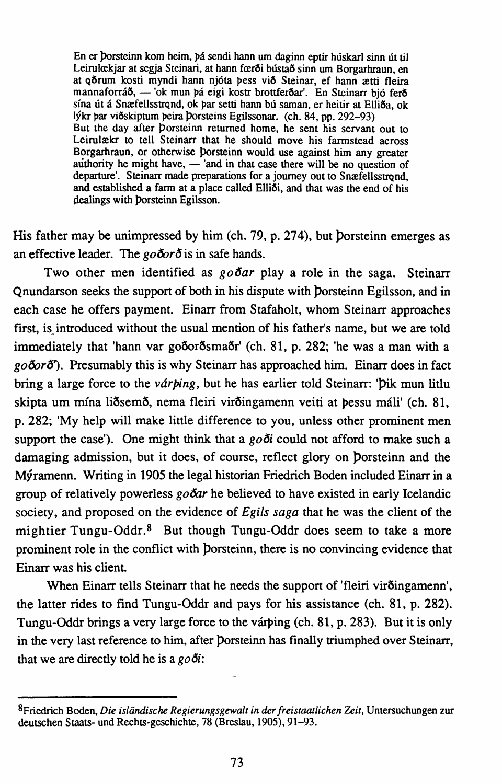En er borsteinn kom heim, þá sendi hann um daginn eptir húskarl sinn út til Leirulækjar at segja Steinari, at hann færði bústað sinn um Borgarhraun, en at qorum kosti myndi hann njóta pess við Steinar, ef hann ætti fleira mannaforráð, - 'ok mun þá eigi kostr brottferðar'. En Steinarr bjó ferð sína út á Snæfellsstrond, ok þar setti hann bú saman, er heitir at Elliða, ok lýkr þar viðskiptum þeira Þorsteins Egilssonar. (ch. 84, pp. 292-93) But the day after Dorsteinn returned home, he sent his servant out to Leirulækr to tell Steinarr that he should move his farmstead across Borgarhraun, or otherwise borsteinn would use against him any greater authority he might have,  $-$  'and in that case there will be no question of departure'. Steinarr made preparations for a journey out to Snæfellsstrond, and established a farm at a place called Ellioti, and that was the end of his dealings with Dorsteinn Egilsson.

His father may be unimpressed by him (ch. 79, p. 274), but porsteinn emerges as an effective leader. The *go&ro* is in safe hands.

Two other men identified as *gobar* play a role in the saga. Steinarr Qnundarson seeks the support of both in his dispute with porsteinn Egilsson, and in each case he offers payment. Einarr from Stafaholt, whom Steinarr approaches first, is introduced without the usual mention of his father's name, but we are told immediately that 'hann var go6or6sma6r' (ch. 81, p. 282; 'he was a man with a *go6or0').* Presumably this is why Steinarr has approached him. Einarr does in fact bring a large force to the *várping*, but he has earlier told Steinarr: 'Dik mun litlu skipta um mína liðsemð, nema fleiri virðingamenn veiti at bessu máli' (ch. 81, p. 282; 'My help will make little difference to you, unless other prominent men support the case'). One might think that a  $g \circ \delta i$  could not afford to make such a damaging admission, but it does, of course, reflect glory on porsteinn and the Myramenn. Writing in 1905 the legal historian Friedrich Boden included Einarr in a group of relatively powerless *go/Jar* he believed to have existed in early Icelandic society, and proposed on the evidence of *Egils saga* that he was the client of the mightier Tungu-Oddr. $8$  But though Tungu-Oddr does seem to take a more prominent role in the conflict with porsteinn, there is no convincing evidence that Einarr was his client.

When Einarr tells Steinarr that he needs the support of 'fleiri virðingamenn', the latter rides to find Tungu-Oddr and pays for his assistance (ch. 81, p. 282). Tungu-Oddr brings a very large force to the várbing (ch. 81, p. 283). But it is only in the very last reference to him, after porsteinn has finally triumphed over Steinarr, that we are directly told he is a *go*  $\delta i$ :

<sup>8</sup>friedrich Boden, *Die isliindische Regierungsgewalt in der freistaatlichen Zeit,* Untersuchungen zur deutschen Staats· und Rechts-geschichte, 78 (Breslau, 1905), 91-93.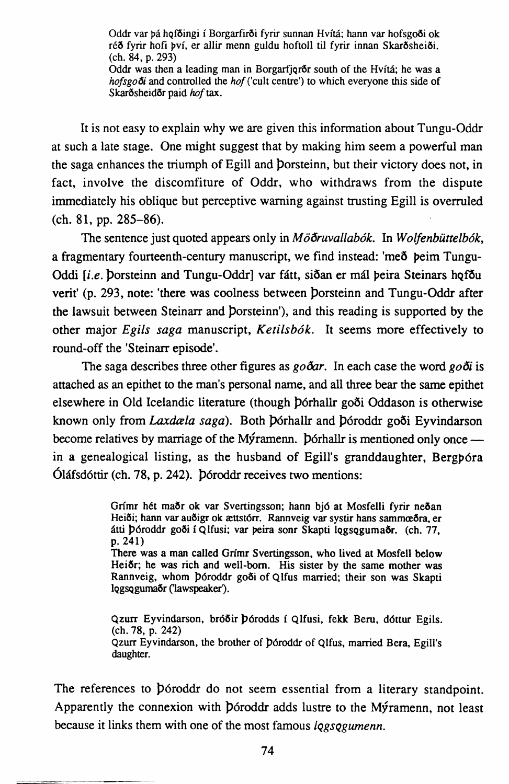Oddr var þá hofðingi í Borgarfirði fyrir sunnan Hvítá; hann var hofsgoði ok réð fyrir hofi því, er allir menn guldu hoftoll til fyrir innan Skarðsheiði.  $(ch. 84, p. 293)$ Oddr was then a leading man in Borgarfjoror south of the Hvítá; he was a *hofsgo6i* and controlled the *hof* ('cult centre') to which everyone this side of Skarðsheidðr paid hof tax.

It is not easy to explain why we are given this information about Tungu-Oddr at such a late stage. One might suggest that by making him seem a powerlul man the saga enhances the triumph of Egill and Dorsteinn, but their victory does not, in fact, involve the discomfiture of Oddr, who withdraws from the dispute immediately his oblique but perceptive warning against trusting Egill is overruled (ch. 81, pp. 285-86).

The sentence just quoted appears only in *Mööruvallabók*. In *Wolfenbüttelbók*, a fragmentary fourteenth-century manuscript, we find instead: 'með peim Tungu-Oddi *[i.e.* Dorsteinn and Tungu-Oddr] var fátt, siðan er mál þeira Steinars hofðu verit' (p. 293, note: 'there was coolness between borsteinn and Tungu-Oddr after the lawsuit between Steinarr and Dorsteinn'), and this reading is supported by the other major *Egils saga* manuscript, *Ketilsb6k.* It seems more effectively to round-off the 'Steinarr episode'.

The saga describes three other figures as *go6ar.* In each case the word *gooi* is attached as an epithet to the man's personal name, and all three bear the same epithet elsewhere in Old Icelandic literature (though Dórhallr goði Oddason is otherwise known only from *Laxdæla saga*). Both *pórhallr and póroddr goði Eyvindarson* become relatives by marriage of the Myramenn. Do rhallr is mentioned only once  $$ in a genealogical listing, as the husband of Egill's granddaughter, Bergp6ra Óláfsdóttir (ch. 78, p. 242). Dóroddr receives two mentions:

> Grimr het ma6r ok var Sveningsson; hann bj6 at Mosfelli fyrir ne6an Heiði; hann var auðigr ok ættstórr. Rannveig var systir hans sammæðra, er átti þóroddr goði í Qlfusi; var peira sonr Skapti logsogumaðr. (ch. 77, p. 241) There was a man called Grimr Svertingsson, who lived at Mosfell below Heiör; he was rich and well-born. His sister by the same mother was Rannveig, whom *póroddr goði of Qlfus married*; their son was Skapti logsogumaðr ('lawspeaker').

> Qzurr Eyvindarson, bróðir Þórodds í Qlfusi, fekk Beru, dóttur Egils. (ch. 78, p. 242) Qzurr Eyvindarson, the brother of *póroddr* of Qlfus, married Bera, Egill's daughter.

The references to poroddr do not seem essential from a literary standpoint. Apparently the connexion with Dóroddr adds lustre to the Myramenn, not least because it links them with one of the most famous *logsogumenn*.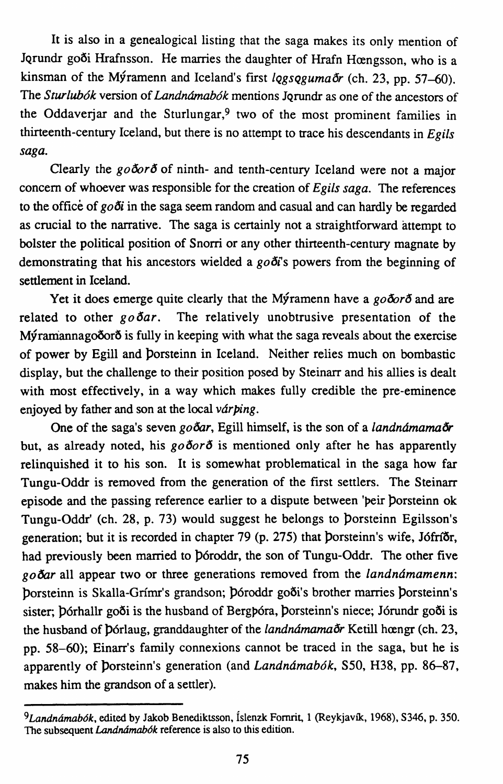It is also in a genealogical listing that the saga makes its only mention of Jorundr goði Hrafnsson. He marries the daughter of Hrafn Hœngsson, who is a kinsman of the Mýramenn and Iceland's first *logsoguma*or (ch. 23, pp. 57-60). The *Sturlubók* version of *Landnámabók* mentions Jorundr as one of the ancestors of the Oddaverjar and the Sturlungar,<sup>9</sup> two of the most prominent families in thirteenth-century Iceland, but there is no attempt to trace his descendants in *Egils saga.* 

Clearly the *goborb* of ninth- and tenth-century Iceland were not a major concern of whoever was responsible for the creation of *Egils saga.* The references to the office of *go6i* in the saga seem random and casual and can hardly be regarded as crucial to the narrative. The saga is certainly not a straightforward attempt to bolster the political position of Snorri or any other thirteenth-century magnate by demonstrating that his ancestors wielded a *go*<sup> $\delta$ </sup>s powers from the beginning of settlement in Iceland.

Yet it does emerge quite clearly that the Myramenn have a *goborb* and are related to other go oar. The relatively unobtrusive presentation of the Mýramannagoðorð is fully in keeping with what the saga reveals about the exercise of power by Egill and Dorsteinn in Iceland. Neither relies much on bombastic display, but the challenge to their position posed by Steinarr and his allies is dealt with most effectively, in a way which makes fully credible the pre-eminence enjoyed by father and son at the local *várbing*.

One of the saga's seven *goðar*, Egill himself, is the son of a *landnámamaðr* but, as already noted, his  $g \circ \delta \circ r \delta$  is mentioned only after he has apparently relinquished it to his son. It is somewhat problematical in the saga how far Tungu-Oddr is removed from the generation of the first settlers. The Steinarr episode and the passing reference earlier to a dispute between 'peir porsteinn ok Tungu-Oddr' (ch. 28, p. 73) would suggest he belongs to Dorsteinn Egilsson's generation; but it is recorded in chapter 79 (p. 275) that porsteinn's wife, Jófríðr, had previously been married to  $p$  oroddr, the son of Tungu-Oddr. The other five *got5ar* all appear two or three generations removed from the *landnamamenn:*  borsteinn is Skalla-Grímr's grandson; Dóroddr goði's brother marries porsteinn's sister; Dórhallr goði is the husband of Bergpóra, Dorsteinn's niece; Jórundr goði is the husband of *Dórlaug*, granddaughter of the *landnámamaðr* Ketill hængr (ch. 23, pp. 58-60); Einarr's family connexions cannot be traced in the saga, but he is apparently of *porsteinn's generation (and <i>Landnámabók*, S50, H38, pp. 86-87, makes him the grandson of a settler).

*<sup>9</sup>Landnamab0k,* edited by Jakob Benediktsson, islenzk Fornrit, l (Reykjavik, 1968), S346, p. 350. The subsequent *Landnámabók* reference is also to this edition.